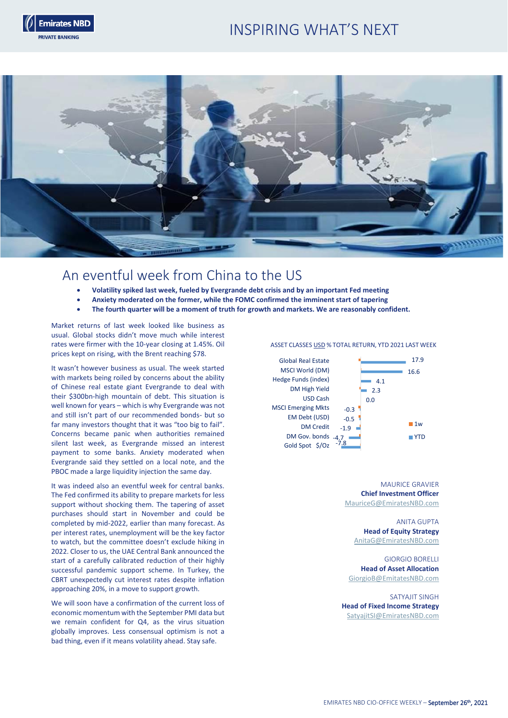# INSPIRING WHAT'S NEXT





# An eventful week from China to the US

- **Volatility spiked last week, fueled by Evergrande debt crisis and by an important Fed meeting**
- **Anxiety moderated on the former, while the FOMC confirmed the imminent start of tapering**
- **The fourth quarter will be a moment of truth for growth and markets. We are reasonably confident.**

Market returns of last week looked like business as usual. Global stocks didn't move much while interest rates were firmer with the 10-year closing at 1.45%. Oil prices kept on rising, with the Brent reaching \$78.

It wasn't however business as usual. The week started with markets being roiled by concerns about the ability of Chinese real estate giant Evergrande to deal with their \$300bn-high mountain of debt. This situation is well known for years – which is why Evergrande was not and still isn't part of our recommended bonds- but so far many investors thought that it was "too big to fail". Concerns became panic when authorities remained silent last week, as Evergrande missed an interest payment to some banks. Anxiety moderated when Evergrande said they settled on a local note, and the PBOC made a large liquidity injection the same day.

It was indeed also an eventful week for central banks. The Fed confirmed its ability to prepare markets for less support without shocking them. The tapering of asset purchases should start in November and could be completed by mid-2022, earlier than many forecast. As per interest rates, unemployment will be the key factor to watch, but the committee doesn't exclude hiking in 2022. Closer to us, the UAE Central Bank announced the start of a carefully calibrated reduction of their highly successful pandemic support scheme. In Turkey, the CBRT unexpectedly cut interest rates despite inflation approaching 20%, in a move to support growth.

We will soon have a confirmation of the current loss of economic momentum with the September PMI data but we remain confident for Q4, as the virus situation globally improves. Less consensual optimism is not a bad thing, even if it means volatility ahead. Stay safe.

# ASSET CLASSES USD % TOTAL RETURN, YTD 2021 LAST WEEK



MAURICE GRAVIER **Chief Investment Officer** [MauriceG@EmiratesNBD.com](mailto:MauriceG@EmiratesNBD.com)

ANITA GUPTA **Head of Equity Strategy** [AnitaG@EmiratesNBD.com](mailto:AnitaG@EmiratesNBD.com)

GIORGIO BORELLI **Head of Asset Allocation** [GiorgioB@EmitatesNBD.com](mailto:GiorgioB@EmitatesNBD.com)

SATYAJIT SINGH **Head of Fixed Income Strategy** [SatyajitSI@EmiratesNBD.com](mailto:YahyaS@EmiratesNBD.com)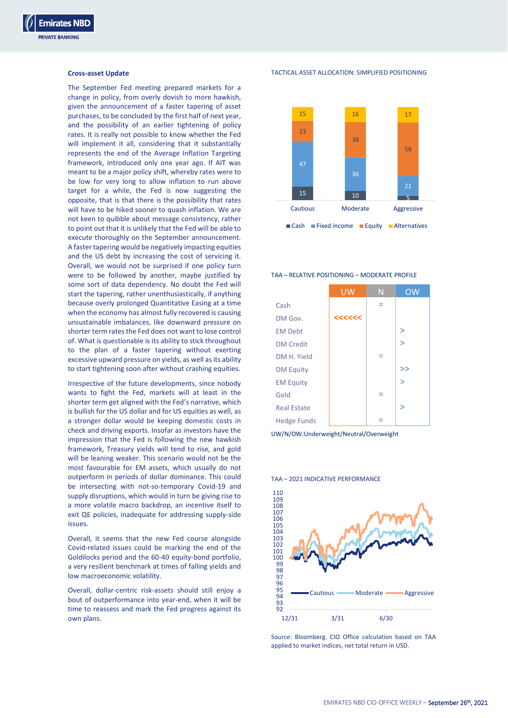# **Cross-asset Update**

The September Fed meeting prepared markets for a change in policy, from overly dovish to more hawkish, given the announcement of a faster tapering of asset purchases, to be concluded by the first half of next year, and the possibility of an earlier tightening of policy rates. It is really not possible to know whether the Fed will implement it all, considering that it substantially represents the end of the Average Inflation Targeting framework, introduced only one year ago. If AIT was meant to be a major policy shift, whereby rates were to be low for very long to allow inflation to run above target for a while, the Fed is now suggesting the opposite, that is that there is the possibility that rates will have to be hiked sooner to quash inflation. We are not keen to quibble about message consistency, rather to point out that it is unlikely that the Fed will be able to execute thoroughly on the September announcement. A faster tapering would be negatively impacting equities and the US debt by increasing the cost of servicing it. Overall, we would not be surprised if one policy turn were to be followed by another, maybe justified by some sort of data dependency. No doubt the Fed will start the tapering, rather unenthusiastically, if anything because overly prolonged Quantitative Easing at a time when the economy has almost fully recovered is causing unsustainable imbalances, like downward pressure on shorter term rates the Fed does not want to lose control of. What is questionable is its ability to stick throughout to the plan of a faster tapering without exerting excessive upward pressure on yields, as well as its ability to start tightening soon after without crashing equities.

Irrespective of the future developments, since nobody wants to fight the Fed, markets will at least in the shorter term get aligned with the Fed's narrative, which is bullish for the US dollar and for US equities as well, as a stronger dollar would be keeping domestic costs in check and driving exports. Insofar as investors have the impression that the Fed is following the new hawkish framework, Treasury yields will tend to rise, and gold will be leaning weaker. This scenario would not be the most favourable for EM assets, which usually do not outperform in periods of dollar dominance. This could be intersecting with not-so-temporary Covid-19 and supply disruptions, which would in turn be giving rise to a more volatile macro backdrop, an incentive itself to exit QE policies, inadequate for addressing supply-side issues.

Overall, it seems that the new Fed course alongside Covid-related issues could be marking the end of the Goldilocks period and the 60-40 equity-bond portfolio, a very resilient benchmark at times of falling yields and low macroeconomic volatility.

Overall, dollar-centric risk-assets should still enjoy a bout of outperformance into year-end, when it will be time to reassess and mark the Fed progress against its own plans.

TACTICAL ASSET ALLOCATION: SIMPLIFIED POSITIONING



### TAA – RELATIVE POSITIONING – MODERATE PROFILE

|                    | <b>UW</b> | N | <b>OW</b> |
|--------------------|-----------|---|-----------|
| Cash               |           | - |           |
| DM Gov.            | <<<<<<    |   |           |
| <b>EM Debt</b>     |           |   | ∍         |
| <b>DM Credit</b>   |           |   | >         |
| DM H. Yield        |           | - |           |
| <b>DM Equity</b>   |           |   | >>        |
| <b>EM Equity</b>   |           |   | ⇒         |
| Gold               |           | - |           |
| <b>Real Estate</b> |           |   | ⇒         |
| <b>Hedge Funds</b> |           |   |           |

UW/N/OW:Underweight/Neutral/Overweight

# TAA – 2021 INDICATIVE PERFORMANCE



Source: Bloomberg. CIO Office calculation based on TAA applied to market indices, net total return in USD.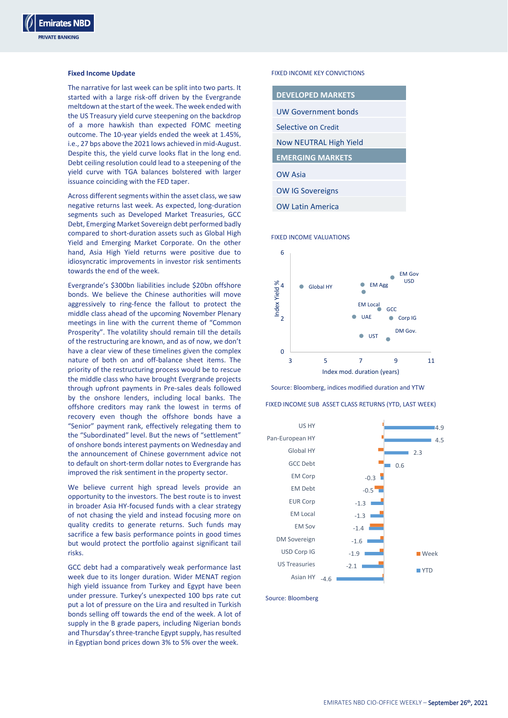# **Fixed Income Update**

The narrative for last week can be split into two parts. It started with a large risk-off driven by the Evergrande meltdown at the start of the week. The week ended with the US Treasury yield curve steepening on the backdrop of a more hawkish than expected FOMC meeting outcome. The 10-year yields ended the week at 1.45%, i.e., 27 bps above the 2021 lows achieved in mid-August. Despite this, the yield curve looks flat in the long end. Debt ceiling resolution could lead to a steepening of the yield curve with TGA balances bolstered with larger issuance coinciding with the FED taper.

Across different segments within the asset class, we saw negative returns last week. As expected, long-duration segments such as Developed Market Treasuries, GCC Debt, Emerging Market Sovereign debt performed badly compared to short-duration assets such as Global High Yield and Emerging Market Corporate. On the other hand, Asia High Yield returns were positive due to idiosyncratic improvements in investor risk sentiments towards the end of the week.

Evergrande's \$300bn liabilities include \$20bn offshore bonds. We believe the Chinese authorities will move aggressively to ring-fence the fallout to protect the middle class ahead of the upcoming November Plenary meetings in line with the current theme of "Common Prosperity". The volatility should remain till the details of the restructuring are known, and as of now, we don't have a clear view of these timelines given the complex nature of both on and off-balance sheet items. The priority of the restructuring process would be to rescue the middle class who have brought Evergrande projects through upfront payments in Pre-sales deals followed by the onshore lenders, including local banks. The offshore creditors may rank the lowest in terms of recovery even though the offshore bonds have a "Senior" payment rank, effectively relegating them to the "Subordinated" level. But the news of "settlement" of onshore bonds interest payments on Wednesday and the announcement of Chinese government advice not to default on short-term dollar notes to Evergrande has improved the risk sentiment in the property sector.

We believe current high spread levels provide an opportunity to the investors. The best route is to invest in broader Asia HY-focused funds with a clear strategy of not chasing the yield and instead focusing more on quality credits to generate returns. Such funds may sacrifice a few basis performance points in good times but would protect the portfolio against significant tail risks.

GCC debt had a comparatively weak performance last week due to its longer duration. Wider MENAT region high yield issuance from Turkey and Egypt have been under pressure. Turkey's unexpected 100 bps rate cut put a lot of pressure on the Lira and resulted in Turkish bonds selling off towards the end of the week. A lot of supply in the B grade papers, including Nigerian bonds and Thursday's three-tranche Egypt supply, has resulted in Egyptian bond prices down 3% to 5% over the week.

# FIXED INCOME KEY CONVICTIONS

| <b>DEVELOPED MARKETS</b>      |  |  |
|-------------------------------|--|--|
| UW Government bonds           |  |  |
| Selective on Credit           |  |  |
| <b>Now NEUTRAL High Yield</b> |  |  |
| <b>EMERGING MARKETS</b>       |  |  |
| <b>OW Asia</b>                |  |  |
|                               |  |  |
| <b>OW IG Sovereigns</b>       |  |  |

### FIXED INCOME VALUATIONS



Source: Bloomberg, indices modified duration and YTW

## FIXED INCOME SUB ASSET CLASS RETURNS (YTD, LAST WEEK)



Source: Bloomberg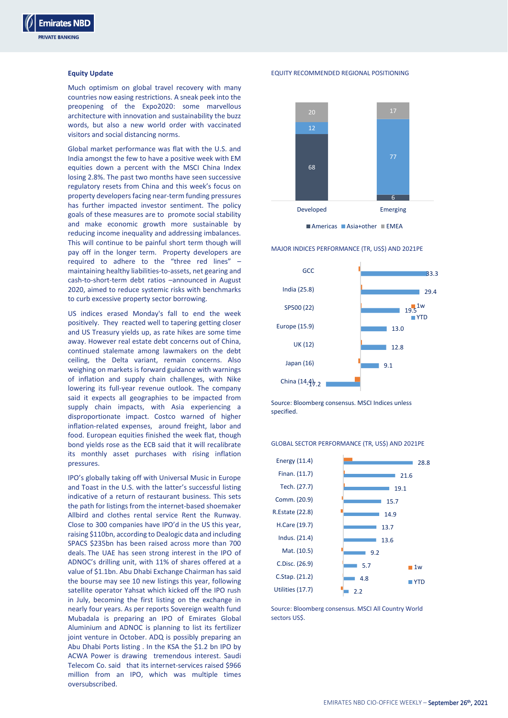# **Equity Update**

Much optimism on global travel recovery with many countries now easing restrictions. A sneak peek into the preopening of the Expo2020: some marvellous architecture with innovation and sustainability the buzz words, but also a new world order with vaccinated visitors and social distancing norms.

Global market performance was flat with the U.S. and India amongst the few to have a positive week with EM equities down a percent with the MSCI China Index losing 2.8%. The past two months have seen successive regulatory resets from China and this week's focus on property developers facing near-term funding pressures has further impacted investor sentiment. The policy goals of these measures are to promote social stability and make economic growth more sustainable by reducing income inequality and addressing imbalances. This will continue to be painful short term though will pay off in the longer term. Property developers are required to adhere to the "three red lines" – maintaining healthy liabilities-to-assets, net gearing and cash-to-short-term debt ratios –announced in August 2020, aimed to reduce systemic risks with benchmarks to curb excessive property sector borrowing.

US indices erased Monday's fall to end the week positively. They reacted well to tapering getting closer and US Treasury yields up, as rate hikes are some time away. However real estate debt concerns out of China, continued stalemate among lawmakers on the debt ceiling, the Delta variant, remain concerns. Also weighing on markets is forward guidance with warnings of inflation and supply chain challenges, with Nike lowering its full-year revenue outlook. The company said it expects all geographies to be impacted from supply chain impacts, with Asia experiencing a disproportionate impact. Costco warned of higher inflation-related expenses, around freight, labor and food. European equities finished the week flat, though bond yields rose as the ECB said that it will recalibrate its monthly asset purchases with rising inflation pressures.

IPO's globally taking off with Universal Music in Europe and Toast in the U.S. with the latter's successful listing indicative of a return of restaurant business. This sets the path for listings from the internet-based shoemaker Allbird and clothes rental service Rent the Runway. Close to 300 companies have IPO'd in the US this year, raising \$110bn, according to Dealogic data and including SPACS \$235bn has been raised across more than 700 deals. The UAE has seen strong interest in the IPO of ADNOC's drilling unit, with 11% of shares offered at a value of \$1.1bn. Abu Dhabi Exchange Chairman has said the bourse may see 10 new listings this year, following satellite operator Yahsat which kicked off the IPO rush in July, becoming the first listing on the exchange in nearly four years. As per reports Sovereign wealth fund Mubadala is preparing an IPO of Emirates Global Aluminium and ADNOC is planning to list its fertilizer joint venture in October. ADQ is possibly preparing an Abu Dhabi Ports listing . In the KSA the \$1.2 bn IPO by ACWA Power is drawing tremendous interest. Saudi Telecom Co. said that its internet-services raised \$966 million from an IPO, which was multiple times oversubscribed.

EQUITY RECOMMENDED REGIONAL POSITIONING



 $M$ Americas  $M$ Asia+other  $M$ FMFA

MAJOR INDICES PERFORMANCE (TR, US\$) AND 2021PE



Source: Bloomberg consensus. MSCI Indices unless specified.

## GLOBAL SECTOR PERFORMANCE (TR, US\$) AND 2021PE



Source: Bloomberg consensus. MSCI All Country World sectors US\$.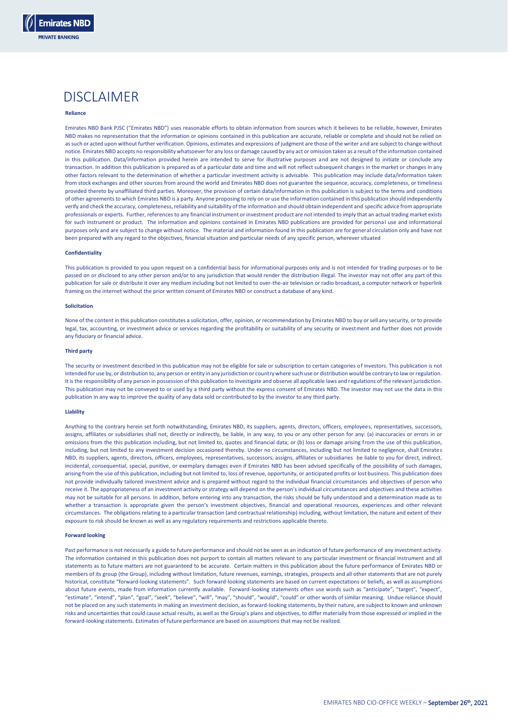

# DISCI AIMER

### **Reliance**

Emirates NBD Bank PJSC ("Emirates NBD") uses reasonable efforts to obtain information from sources which it believes to be reliable, however, Emirates NBD makes no representation that the information or opinions contained in this publication are accurate, reliable or complete and should not be relied on as such or acted upon without further verification. Opinions, estimates and expressions of judgment are those of the writer and are subject to change without notice. Emirates NBD accepts no responsibility whatsoever for any loss or damage caused by any act or omission taken as a result of the information contained in this publication. Data/information provided herein are intended to serve for illustrative purposes and are not designed to initiate or conclude any transaction. In addition this publication is prepared as of a particular date and time and will not reflect subsequent changes in the market or changes in any other factors relevant to the determination of whether a particular investment activity is advisable. This publication may include data/information taken from stock exchanges and other sources from around the world and Emirates NBD does not guarantee the sequence, accuracy, completeness, or timeliness provided thereto by unaffiliated third parties. Moreover, the provision of certain data/information in this publication is subject to the terms and conditions of other agreements to which Emirates NBD is a party. Anyone proposing to rely on or use the information contained in this publication should independently verify and check the accuracy, completeness, reliability and suitability of the information and should obtain independent and specific advice from appropriate professionals or experts. Further, references to any financial instrument or investment product are not intended to imply that an actual trading market exists for such instrument or product. The information and opinions contained in Emirates NBD publications are provided for personal use and informational purposes only and are subject to change without notice. The material and information found in this publication are for general circulation only and have not been prepared with any regard to the objectives, financial situation and particular needs of any specific person, wherever situated

### **Confidentiality**

This publication is provided to you upon request on a confidential basis for informational purposes only and is not intended for trading purposes or to be passed on or disclosed to any other person and/or to any jurisdiction that would render the distribution illegal. The investor may not offer any part of this publication for sale or distribute it over any medium including but not limited to over-the-air television or radio broadcast, a computer network or hyperlink framing on the internet without the prior written consent of Emirates NBD or construct a database of any kind.

### **Solicitation**

None of the content in this publication constitutes a solicitation, offer, opinion, or recommendation by Emirates NBD to buy or sell any security, or to provide legal, tax, accounting, or investment advice or services regarding the profitability or suitability of any security or investment and further does not provide any fiduciary or financial advice.

#### **Third party**

The security or investment described in this publication may not be eligible for sale or subscription to certain categories of investors. This publication is not intended for use by, or distribution to, any person or entity in any jurisdiction or country where such use or distribution would be contrary to law or regulation. It is the responsibility of any person in possession of this publication to investigate and observe all applicable laws and regulations of the relevant jurisdiction. This publication may not be conveyed to or used by a third party without the express consent of Emirates NBD. The investor may not use the data in this publication in any way to improve the quality of any data sold or contributed to by the investor to any third party.

#### **Liability**

Anything to the contrary herein set forth notwithstanding, Emirates NBD, its suppliers, agents, directors, officers, employees, representatives, successors, assigns, affiliates or subsidiaries shall not, directly or indirectly, be liable, in any way, to you or any other person for any: (a) inaccuracies or errors in or omissions from the this publication including, but not limited to, quotes and financial data; or (b) loss or damage arising from the use of this publication, including, but not limited to any investment decision occasioned thereby. Under no circumstances, including but not limited to negligence, shall Emirates NBD, its suppliers, agents, directors, officers, employees, representatives, successors, assigns, affiliates or subsidiaries be liable to vou for direct. indirect. incidental, consequential, special, punitive, or exemplary damages even if Emirates NBD has been advised specifically of the possibility of such damages, arising from the use of this publication, including but not limited to, loss of revenue, opportunity, or anticipated profits or lost business. This publication does not provide individually tailored investment advice and is prepared without regard to the individual financial circumstances and objectives of person who receive it. The appropriateness of an investment activity or strategy will depend on the person's individual circumstances and objectives and these activities may not be suitable for all persons. In addition, before entering into any transaction, the risks should be fully understood and a determination made as to whether a transaction is appropriate given the person's investment objectives, financial and operational resources, experiences and other relevant circumstances. The obligations relating to a particular transaction (and contractual relationship) including, without limitation, the nature and extent of their exposure to risk should be known as well as any regulatory requirements and restrictions applicable thereto.

#### **Forward looking**

Past performance is not necessarily a guide to future performance and should not be seen as an indication of future performance of any investment activity. The information contained in this publication does not purport to contain all matters relevant to any particular investment or financial instrument and all statements as to future matters are not guaranteed to be accurate. Certain matters in this publication about the future performance of Emirates NBD or members of its group (the Group), including without limitation, future revenues, earnings, strategies, prospects and all other statements that are not purely historical, constitute "forward-looking statements". Such forward-looking statements are based on current expectations or beliefs, as well as assumptions about future events, made from information currently available. Forward-looking statements often use words such as "anticipate", "target", "expect", "estimate", "intend", "plan", "goal", "seek", "believe", "will", "may", "should", "would", "could" or other words of similar meaning. Undue reliance should not be placed on any such statements in making an investment decision, as forward-looking statements, by their nature, are subject to known and unknown risks and uncertainties that could cause actual results, as well as the Group's plans and objectives, to differ materially from those expressed or implied in the forward-looking statements. Estimates of future performance are based on assumptions that may not be realized.